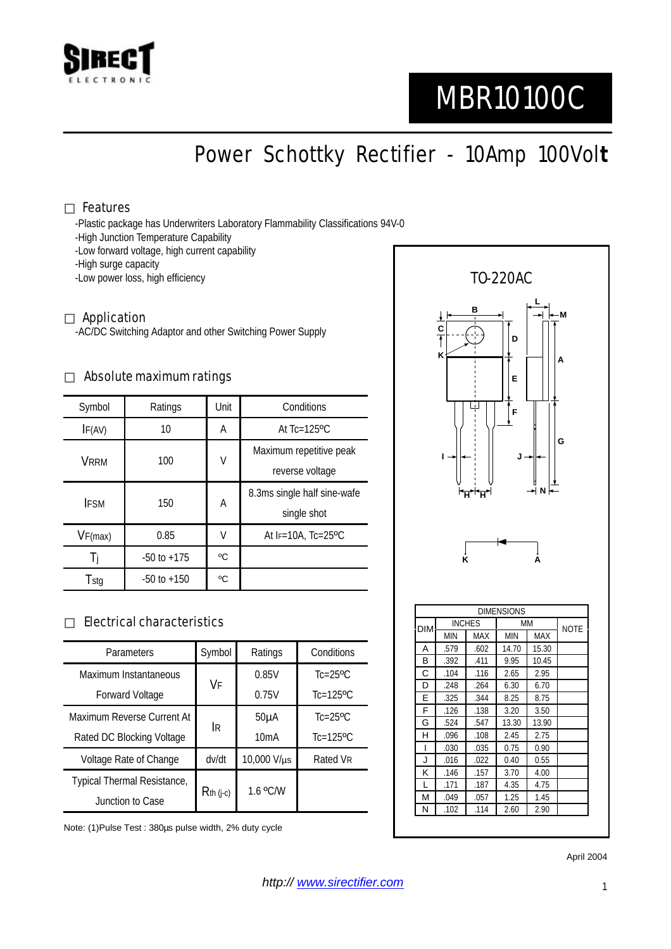

# MBR10100C

Power Schottky Rectifier - 10Amp 100Vol**t**

#### Features

-Plastic package has Underwriters Laboratory Flammability Classifications 94V-0

- -High Junction Temperature Capability
- -Low forward voltage, high current capability
- -High surge capacity
- -Low power loss, high efficiency

#### Application

-AC/DC Switching Adaptor and other Switching Power Supply

#### Absolute maximum ratings

| Symbol      | Ratings         | Unit | Conditions                   |  |
|-------------|-----------------|------|------------------------------|--|
| IF(AV)      | 10              | Α    | At $Tc=125$ <sup>o</sup> $C$ |  |
| <b>VRRM</b> | 100             | V    | Maximum repetitive peak      |  |
|             |                 |      | reverse voltage              |  |
| <b>IFSM</b> | 150             | Α    | 8.3ms single half sine-wafe  |  |
|             |                 |      | single shot                  |  |
| VF(max)     | 0.85            | V    | At $F=10A$ , Tc=25°C         |  |
| 1i          | $-50$ to $+175$ | °C   |                              |  |
| Tstg        | $-50$ to $+150$ | °C   |                              |  |

### Electrical characteristics

| Parameters                  | Symbol       | Ratings           | Conditions                 |
|-----------------------------|--------------|-------------------|----------------------------|
| Maximum Instantaneous       | VF           | 0.85V             | $Tc=25$ <sup>o</sup> $C$   |
| Forward Voltage             |              | 0.75V             | $Tc=125$ <sup>o</sup> $C$  |
| Maximum Reverse Current At  | İR           | 50 <sub>µ</sub> A | $Tc = 25$ <sup>o</sup> $C$ |
| Rated DC Blocking Voltage   |              | 10mA              | $Tc=125$ <sup>o</sup> $C$  |
| Voltage Rate of Change      | dv/dt        | 10,000 V/µs       | Rated VR                   |
| Typical Thermal Resistance, | $R$ th (j-c) | 1.6 °C/W          |                            |
| Junction to Case            |              |                   |                            |

Note: (1)Pulse Test : 380µs pulse width, 2% duty cycle



| <b>DIMENSIONS</b> |               |      |            |       |             |  |  |  |
|-------------------|---------------|------|------------|-------|-------------|--|--|--|
| <b>DIM</b>        | <b>INCHES</b> |      | MM         |       | <b>NOTE</b> |  |  |  |
|                   | MIN           | MAX  | <b>MIN</b> | MAX   |             |  |  |  |
| A                 | .579          | .602 | 14.70      | 15.30 |             |  |  |  |
| В                 | .392          | .411 | 9.95       | 10.45 |             |  |  |  |
| С                 | .104          | .116 | 2.65       | 2.95  |             |  |  |  |
| D                 | .248          | .264 | 6.30       | 6.70  |             |  |  |  |
| Е                 | .325          | .344 | 8.25       | 8.75  |             |  |  |  |
| F                 | .126          | .138 | 3.20       | 3.50  |             |  |  |  |
| G                 | .524          | .547 | 13.30      | 13.90 |             |  |  |  |
| н                 | .096          | .108 | 2.45       | 2.75  |             |  |  |  |
| ı                 | .030          | .035 | 0.75       | 0.90  |             |  |  |  |
| J                 | .016          | .022 | 0.40       | 0.55  |             |  |  |  |
| κ                 | .146          | .157 | 3.70       | 4.00  |             |  |  |  |
| L                 | .171          | .187 | 4.35       | 4.75  |             |  |  |  |
| М                 | .049          | .057 | 1.25       | 1.45  |             |  |  |  |
| N                 | .102          | .114 | 2.60       | 2.90  |             |  |  |  |

April 2004